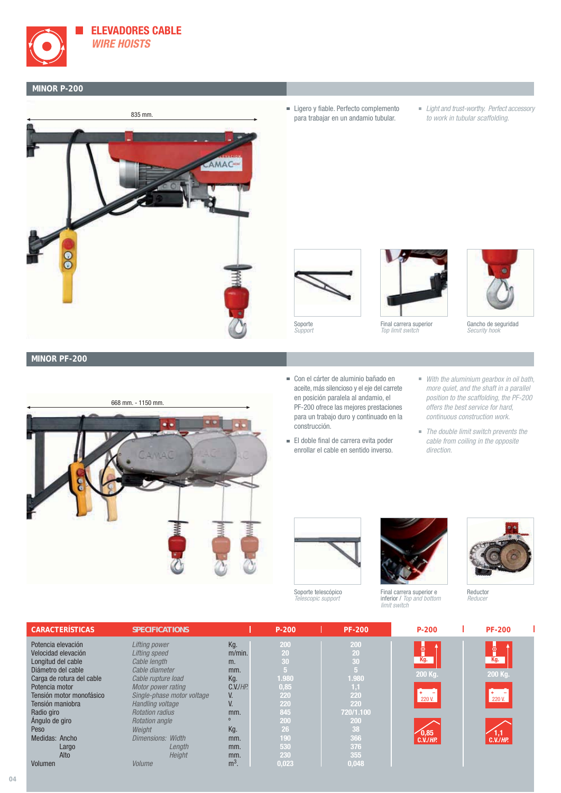

## **MINOR P-200**



- **Ligero y fiable. Perfecto complemento** para trabajar en un andamio tubular.
- Light and trust-worthy. Perfect accessory to work in tubular scaffolding.



Support







Gancho de seguridad Security hook

#### **MINOR PF-200**



- Con el cárter de aluminio bañado en aceite, más silencioso y el eje del carrete en posición paralela al andamio, el PF-200 ofrece las mejores prestaciones para un trabajo duro y continuado en la construcción.
- El doble final de carrera evita poder enrollar el cable en sentido inverso.
- With the aluminium gearbox in oil bath, more quiet, and the shaft in a parallel position to the scaffolding, the PF-200 offers the best service for hard, continuous construction work.
- The double limit switch prevents the cable from coiling in the opposite direction.



Soporte telescópico escopic support



Final carrera superior e inferior / Top and bottom limit switch



Reductor Reducer

| <b>CARACTERÍSTICAS</b>    | <b>SPECIFICATIONS</b>      |                | $P - 200$ | <b>PF-200</b> | $P - 200$      | <b>PF-200</b>  |
|---------------------------|----------------------------|----------------|-----------|---------------|----------------|----------------|
| Potencia elevación        | Lifting power              | Kg.            | 200       | 200           |                |                |
| Velocidad elevación       | <b>Lifting speed</b>       | $m/min$ .      | 20        | 20            | စ္ခ်ီ          | စ္ခံ           |
| Longitud del cable        | Cable length               | m.             | 30        | 30            | Kg.            | Kg.            |
| Diámetro del cable        | Cable diameter             | mm.            |           | 5             |                |                |
| Carga de rotura del cable | Cable rupture load         | Kg.            | 1.980     | 1.980         | 200 Kg.        | 200 Kg.        |
| Potencia motor            | Motor power rating         | $C.V.$ / $HP.$ | 0,85      | 1,1           |                |                |
| Tensión motor monofásico  | Single-phase motor voltage | V.             | 220       | 220           | 220 V.         | 220 V.         |
| Tensión maniobra          | Handling voltage           | V.             | 220       | 220           |                |                |
| Radio giro                | <b>Rotation radius</b>     | mm.            | 845       | 720/1.100     |                |                |
| Angulo de giro            | <b>Rotation angle</b>      | $\Omega$       | 200       | 200           |                |                |
| Peso                      | Weight                     | Kg.            | 26        | 38            | 0,85           | 1.1            |
| Medidas: Ancho            | <b>Dimensions: Width</b>   | mm.            | 190       | 366           | $C.V.$ / $HP.$ | $C.V.$ / $HP.$ |
| Largo                     | Length                     | mm.            | 530       | 376           |                |                |
| Alto                      | Height                     | mm.            | 230       | 355           |                |                |
| Volumen                   | Volume                     | $m3$ .         | 0.023     | 0.048         |                |                |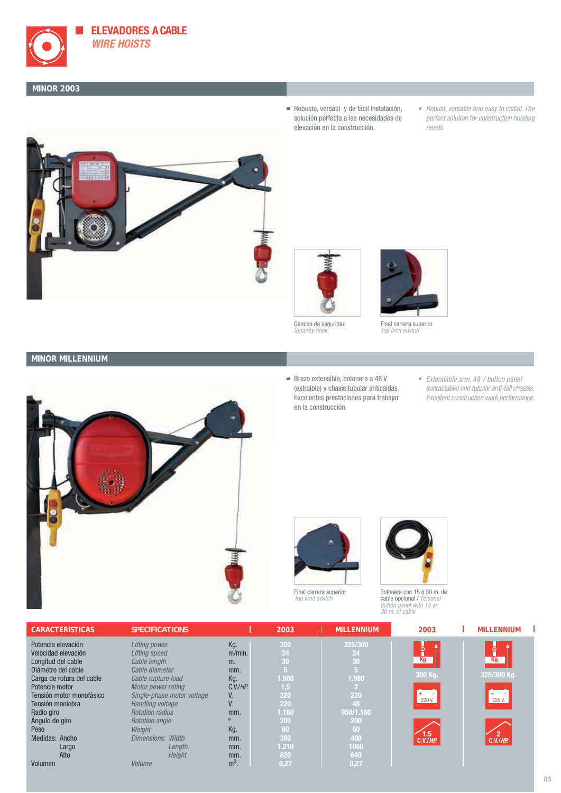

**ELEVADORES A CABLE WIRE HOISTS**

#### **MINOR 2003**



- Robusto, versátil y de fácil instalación, solución perfecta a las necesidades de elevación en la construcción.
- Robust, versatile and easy to install. The perfect solution for construction hoisting needs.



Gancho de seguridad Security hook



Final carrera superior Top limit switch

### **MINOR MILLENNIUM**



- Brazo extensible, botonera a 48 V (extraíble) y chasis tubular anticaídas. Excelentes prestaciones para trabajar en la construcción.
- Extendable arm, 48 V button panel (extractable) and tubular anti-fall chassis. Excellent construction work performance.







Botonera con 15 ó 30 m. de cable opcional / Optional button panel with 15 or 30 m. of cable

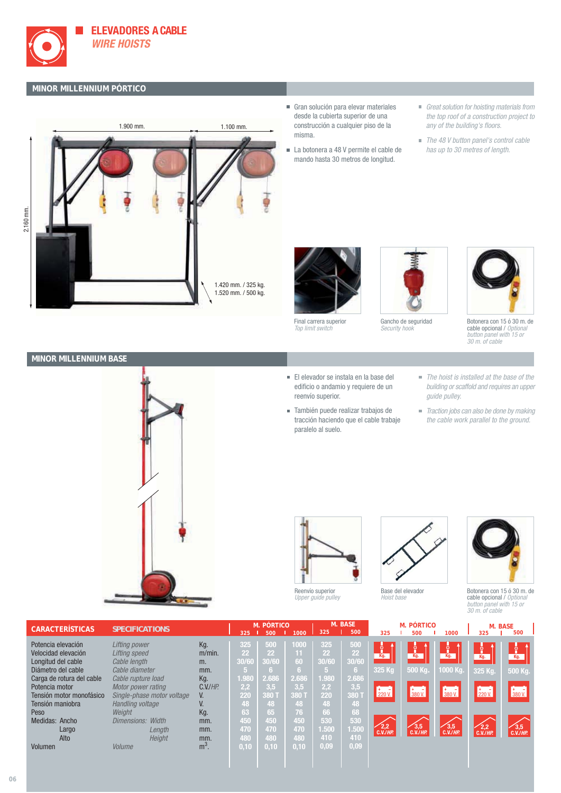

# **MINOR MILLENNIUM PÓRTICO**



- Gran solución para elevar materiales desde la cubierta superior de una construcción a cualquier piso de la misma.
- La botonera a 48 V permite el cable de mando hasta 30 metros de longitud.
- Great solution for hoisting materials from the top roof of a construction project to any of the building's floors.
- The 48 V button panel's control cable has up to 30 metres of length.



Final carrera superior Top limit switch





Botonera con 15 ó 30 m. de cable opcional / Optional button panel with 15 or 30 m. of cable





- El elevador se instala en la base del edificio o andamio y requiere de un reenvío superior.
- También puede realizar trabajos de tracción haciendo que el cable trabaje paralelo al suelo.
- The hoist is installed at the base of the building or scaffold and requires an upper guide pulley.
- Traction jobs can also be done by making the cable work parallel to the ground.



Reenvío superior Upper guide pulley



Base del elevador Hoist base



Botonera con 15 ó 30 m. de cable opcional / Option button panel with 15 or 30 m. of cable

| <b>CARACTERÍSTICAS</b>    | <b>SPECIFICATIONS</b>      |                | 325              | M. PÓRTICO<br>500 | 1000  | 325                         | M. BASE<br>500 | 325                        | <b>M. PÓRTICO</b><br>500                             | 1000               | <b>M. BASE</b><br>325    | 500      |
|---------------------------|----------------------------|----------------|------------------|-------------------|-------|-----------------------------|----------------|----------------------------|------------------------------------------------------|--------------------|--------------------------|----------|
| Potencia elevación        | <b>Lifting power</b>       | Kg.            | 325              | 500               | 1000  | 325                         | 500            | ို                         | ို                                                   | ۱.<br>ا            |                          |          |
| Velocidad elevación       | Lifting speed              | $m/min$ .      | 22               | 22                | 11    | $22^{\circ}$                | 22             | Kg.                        | Kg.                                                  | Kg.                | Kg.                      | ႞<br>Kg. |
| Longitud del cable        | Cable length               | m.             | 30/6             | 30/60             | 60    | 30/60                       | 30/60          |                            |                                                      |                    |                          |          |
| Diámetro del cable        | Cable diameter             | mm.            | 15               | 6.                | 16.   | 15.                         | 6.             | 325 Kg                     | 500 Kg.                                              | 21000 Kg           | 325 Kg.                  | 500 Kg.  |
| Carga de rotura del cable | Cable rupture load         | Kg.            | 1.98             | 2.686             | 2.686 | 1.980                       | 2.686          |                            |                                                      |                    |                          |          |
| Potencia motor            | Motor power rating         | $C.V.$ / $HP.$ | $\overline{2,2}$ | 3,5               | 3,5   | $\overline{\mathcal{L}}$ ,2 | 3,5            | $\sim$                     | $\left  \begin{array}{cc} + & - \end{array} \right $ |                    | $\frac{1}{220}$ V.       | $+ - -$  |
| Tensión motor monofásico  | Single-phase motor voltage | V.             | 220              | 380 1             | 380 T | 220                         | 380 1          | 220 V.                     | 380 V.                                               | $\frac{1}{380}$ V. |                          | 380 V.   |
| Tensión maniobra          | Handling voltage           |                | 48               | 48                | 48    | 48                          | 48             |                            |                                                      |                    |                          |          |
| Peso                      | Weight                     | Kg.            | 63               | 65                | 76    | 66                          | 68             |                            |                                                      |                    |                          |          |
| Medidas: Ancho            | Dimensions:<br>Width       | mm.            | 450              | 450               | 450   | 530                         | 530            |                            |                                                      |                    |                          |          |
| Largo                     | Length                     | mm.            | 470              | 470               | 470   | 1.500                       | 1.500          | $\epsilon_{x, V, H}^{2,2}$ | 3,5                                                  | $3,5$<br>C.V./HP.  | $\sqrt{2,2}$<br>C.V./HP. | 3,5      |
| Alto                      | Height                     | mm.            | 480              | 480               | 480   | 410                         | 410            |                            |                                                      |                    |                          |          |
| Volumen                   | Volume                     | $m3$ .         | 0,10             | 0, 10             | 0, 10 | 0,09                        | 0,09           |                            |                                                      |                    |                          |          |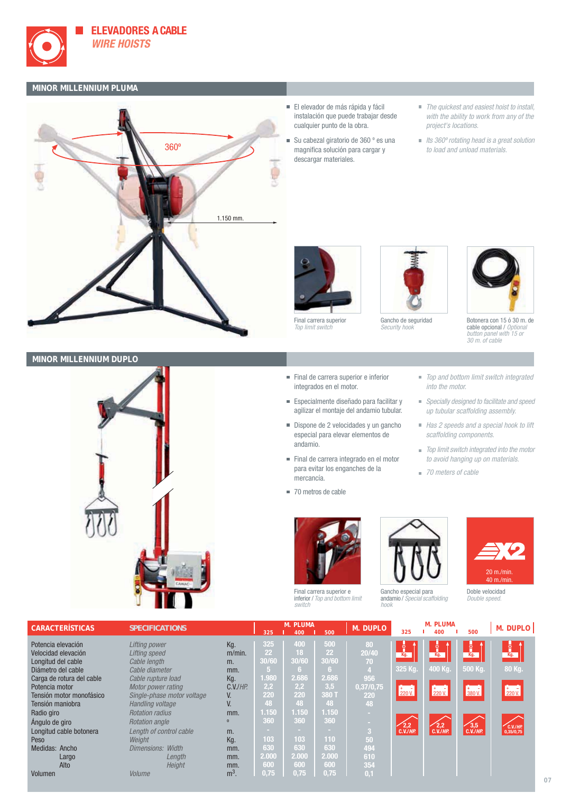

### **MINOR MILLENNIUM PLUMA**



- El elevador de más rápida y fácil instalación que puede trabajar desde cualquier punto de la obra.
- Su cabezal giratorio de 360 º es una magnifica solución para cargar y descargar materiales.
- The quickest and easiest hoist to install, with the ability to work from any of the project's locations.
- $\blacksquare$  Its 360 $^{\circ}$  rotating head is a great solution to load and unload materials.



Final carrera superior Top limit switch







Botonera con 15 ó 30 m. de cable opcional / Optional button panel with 15 or 30 m. of cable





| Final de carrera superior e inferior |
|--------------------------------------|
| integrados en el motor.              |

- Especialmente diseñado para facilitar y agilizar el montaje del andamio tubular.
- Dispone de 2 velocidades y un gancho especial para elevar elementos de andamio.
- Final de carrera integrado en el motor para evitar los enganches de la mercancía.
- 70 metros de cable





| Doble velocidad |  |
|-----------------|--|
| Double speed.   |  |

20 m./min. 40 m./min.

| <b>CARACTERÍSTICAS</b>    | <b>SPECIFICATIONS</b>      |                | 325             | <b>M. PLUMA</b><br>400 | 500            | M. DUPLO       | 325                              | <b>M. PLUMA</b><br>400   | 500                   | M. DUPLO                 |
|---------------------------|----------------------------|----------------|-----------------|------------------------|----------------|----------------|----------------------------------|--------------------------|-----------------------|--------------------------|
| Potencia elevación        | Lifting power              | Kg.            | 325             | 400                    | 500            | 80             |                                  | $\bullet$                | ۱ <sup>6۱</sup>       | å                        |
| Velocidad elevación       | Lifting speed              | $m/min$ .      | 22              | 18                     | 22             | 20/40          | $\frac{\dot{\circ}}{\text{Kg.}}$ | Kg.                      | Kg.                   | Kg.                      |
| Longitud del cable        | Cable length               | m.             | 30/60           | 30/60                  | 30/60          | 70             |                                  |                          |                       |                          |
| Diámetro del cable        | Cable diameter             | mm.            |                 | ΙĠ.                    | 767            |                | 325 Kg.                          | 400 Kg.                  | 500 Kg.               | 80 Kg.                   |
| Carga de rotura del cable | Cable rupture load         | Kg.            | 1.980           | 2.686                  | 2.686          | 956            |                                  |                          |                       |                          |
| Potencia motor            | Motor power rating         | $C.V.$ / $HP.$ | 2,2             | 2,2                    | 3,5            | 0,37/0,75      | <b>I+</b> +                      | l + + + +                | '+ -                  | l + + + + +              |
| Tensión motor monofásico  | Single-phase motor voltage | V.             | 220             | 220                    | 380 T          | 220            | 220 V.                           | 220 V.                   | 380 V.                | 220 V.                   |
| Tensión maniobra          | Handling voltage           |                | 48              | 48                     | 48             | 48             |                                  |                          |                       |                          |
| Radio giro                | <b>Rotation radius</b>     | mm.            | 1.150           | 1.150                  | 1.150          | <b>College</b> |                                  |                          |                       |                          |
| Angulo de giro            | <b>Rotation angle</b>      | $\Omega$       | 360             | 360                    | 360            | <b>COLLECT</b> | 2,2                              |                          |                       |                          |
| Longitud cable botonera   | Lenath of control cable    | m.             | <b>Contract</b> | <b>COLLA</b>           | <b>College</b> | 3              | $C.V.$ /HP.                      | $\sqrt{2,2}$<br>C.V./HP. | $\sqrt{3,5}$ C.V./HP. | $C.V.$ /HP.<br>0,35/0,75 |
| Peso                      | Weight                     | Kg.            | 103             | 103                    | 110            | 50             |                                  |                          |                       |                          |
| Medidas: Ancho            | Dimensions: Width          | mm.            | 630             | 630                    | 630            | 494            |                                  |                          |                       |                          |
| Largo                     | Length                     | mm.            | 2.000           | 2.000                  | 2.000          | 610            |                                  |                          |                       |                          |
| Alto                      | Height                     | mm.            | 600             | 600                    | 600            | 354            |                                  |                          |                       |                          |
| Volumen                   | Volume                     | $m3$ .         | 0.75            | 0.75                   | 0.75           | 0.1            |                                  |                          |                       |                          |

- 
- 
- 
- 

Final carrera superior e inferior / Top and bottom limit

switch

■ *Specially designed to facilitate and speed* up tubular scaffolding assembly. Has 2 speeds and a special hook to lift

■ Top and bottom limit switch integrated

- scaffolding components.
- $\blacksquare$  Top limit switch integrated into the motor to avoid hanging up on materials.
- 70 meters of cable

into the motor.

**07**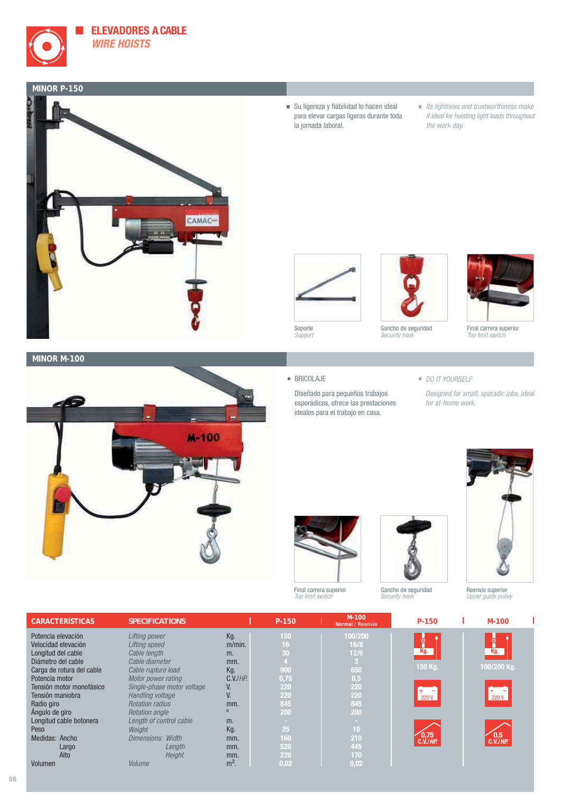

#### **MINOR P-150**



- $\quad \blacksquare$  Su ligereza y fiabilidad lo hacen ideal para elevar cargas ligeras durante toda la jornada laboral.
- $\blacksquare$  Its lightness and trustworthiness make it ideal for hoisting light loads throughout the work day.





Gancho de seguridad Security hook



Final carrera superior Top limit switch

#### **MINOR M-100**



#### **BRICOLAJE**

Soporte Support

Diseñado para pequeños trabajos esporádicos, ofrece las prestaciones ideales para el trabajo en casa.

#### DO IT YOURSELF

Designed for small, sporadic jobs, ideal for at-home work.



Final carrera superior Top limit switch



Gancho de seguridad Security hook



Reenvío superior Upper guide pulley

| <b>CARACTERÍSTICAS</b>    | <b>SPECIFICATIONS</b>      |                | P-150 | $M-100$<br>Normal / Reenvío | P-150                  | $M-100$            |
|---------------------------|----------------------------|----------------|-------|-----------------------------|------------------------|--------------------|
| Potencia elevación        | Lifting power              | Kg.            | 150   | 100/200                     |                        |                    |
| Velocidad elevación       | Lifting speed              | $m/min$ .      | 16    | 16/8                        | ီ                      | စီ့                |
| Longitud del cable        | Cable length               | m.             | 30    | 12/6                        | Kg.                    | Kg.                |
| Diámetro del cable        | Cable diameter             | mm.            |       | -3                          |                        |                    |
| Carga de rotura del cable | Cable rupture load         | Kg.            | 900   | 650                         | 150 Kg.                | 100/200 Kg.        |
| Potencia motor            | Motor power rating         | $C.V.$ / $HP.$ | 0,75  | 0,5                         |                        |                    |
| Tensión motor monofásico  | Single-phase motor voltage | V.             | 220   | 220                         |                        |                    |
| Tensión maniobra          | Handling voltage           | V.             | 220   | 220                         | 220 V.                 | 220 V.             |
| Radio giro                | <b>Rotation radius</b>     | mm.            | 845   | 845                         |                        |                    |
| Angulo de giro            | <b>Rotation angle</b>      | $\mathbf{0}$   | 200   | 200                         |                        |                    |
| Longitud cable botonera   | Length of control cable    | m.             | .     | <b>COLL</b>                 |                        |                    |
| Peso                      | Weight                     | Kg.            | 25    | 10                          |                        |                    |
| Medidas: Ancho            | Dimensions: Width          | mm.            | 160   | 210                         | 0,75<br>$C.V.$ / $HP.$ | 0,5<br>$C.V.$ /HP. |
| Largo                     | Length                     | mm.            | 520   | 445                         |                        |                    |
| Alto                      | Height                     | mm.            | 220   | 170                         |                        |                    |
| Volumen                   | <b>Volume</b>              | $m3$ .         | 0,02  | 0,02                        |                        |                    |